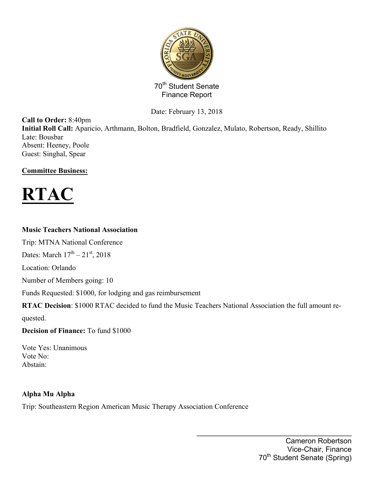

Date: February 13, 2018

**Call to Order:** 8:40pm **Initial Roll Call:** Aparicio, Arthmann, Bolton, Bradfield, Gonzalez, Mulato, Robertson, Ready, Shillito Late: Bousbar Absent: Heeney, Poole Guest: Singhal, Spear

## **Committee Business:**



## **Music Teachers National Association**

Trip: MTNA National Conference

Dates: March  $17^{th} - 21^{st}$ , 2018

Location: Orlando

Number of Members going: 10

Funds Requested: \$1000, for lodging and gas reimbursement

**RTAC Decision**: \$1000 RTAC decided to fund the Music Teachers National Association the full amount re-

quested.

**Decision of Finance:** To fund \$1000

Vote Yes: Unanimous Vote No: Abstain:

### **Alpha Mu Alpha**

Trip: Southeastern Region American Music Therapy Association Conference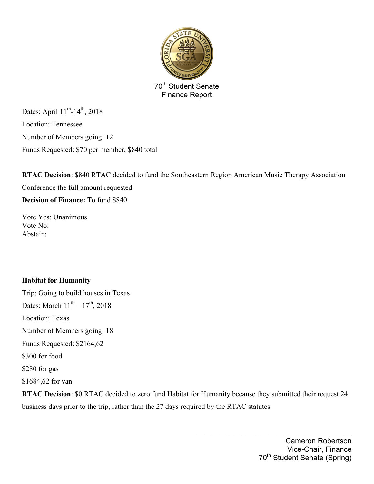

Dates: April  $11^{th}$ -14<sup>th</sup>, 2018 Location: Tennessee Number of Members going: 12 Funds Requested: \$70 per member, \$840 total

**RTAC Decision**: \$840 RTAC decided to fund the Southeastern Region American Music Therapy Association Conference the full amount requested.

**Decision of Finance:** To fund \$840

Vote Yes: Unanimous Vote No: Abstain:

## **Habitat for Humanity**

Trip: Going to build houses in Texas Dates: March  $11^{th} - 17^{th}$ , 2018 Location: Texas Number of Members going: 18 Funds Requested: \$2164,62 \$300 for food \$280 for gas \$1684,62 for van

**RTAC Decision**: \$0 RTAC decided to zero fund Habitat for Humanity because they submitted their request 24 business days prior to the trip, rather than the 27 days required by the RTAC statutes.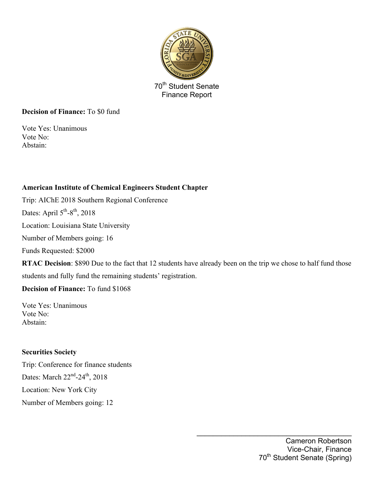

### **Decision of Finance:** To \$0 fund

Vote Yes: Unanimous Vote No: Abstain:

## **American Institute of Chemical Engineers Student Chapter**

Trip: AIChE 2018 Southern Regional Conference

Dates: April  $5<sup>th</sup> - 8<sup>th</sup>$ , 2018

Location: Louisiana State University

Number of Members going: 16

Funds Requested: \$2000

**RTAC Decision**: \$890 Due to the fact that 12 students have already been on the trip we chose to half fund those students and fully fund the remaining students' registration.

**Decision of Finance:** To fund \$1068

Vote Yes: Unanimous Vote No: Abstain:

### **Securities Society**

Trip: Conference for finance students Dates: March  $22^{nd}$ -24<sup>th</sup>, 2018 Location: New York City Number of Members going: 12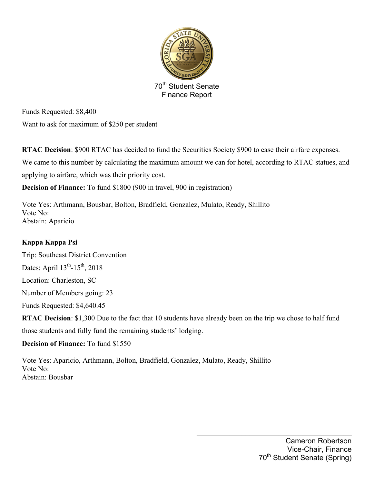

Funds Requested: \$8,400 Want to ask for maximum of \$250 per student

**RTAC Decision**: \$900 RTAC has decided to fund the Securities Society \$900 to ease their airfare expenses.

We came to this number by calculating the maximum amount we can for hotel, according to RTAC statues, and

applying to airfare, which was their priority cost.

**Decision of Finance:** To fund \$1800 (900 in travel, 900 in registration)

Vote Yes: Arthmann, Bousbar, Bolton, Bradfield, Gonzalez, Mulato, Ready, Shillito Vote No: Abstain: Aparicio

## **Kappa Kappa Psi**

Trip: Southeast District Convention Dates: April  $13^{th}$ - $15^{th}$ , 2018 Location: Charleston, SC Number of Members going: 23 Funds Requested: \$4,640.45 **RTAC Decision**: \$1,300 Due to the fact that 10 students have already been on the trip we chose to half fund those students and fully fund the remaining students' lodging.

**Decision of Finance:** To fund \$1550

Vote Yes: Aparicio, Arthmann, Bolton, Bradfield, Gonzalez, Mulato, Ready, Shillito Vote No: Abstain: Bousbar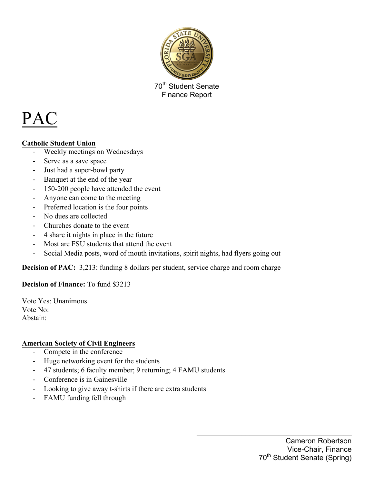

# PAC

## **Catholic Student Union**

- Weekly meetings on Wednesdays
- Serve as a save space
- Just had a super-bowl party
- Banquet at the end of the year
- 150-200 people have attended the event
- Anyone can come to the meeting
- Preferred location is the four points
- No dues are collected
- Churches donate to the event
- 4 share it nights in place in the future
- Most are FSU students that attend the event
- Social Media posts, word of mouth invitations, spirit nights, had flyers going out

**Decision of PAC:** 3,213: funding 8 dollars per student, service charge and room charge

### **Decision of Finance:** To fund \$3213

Vote Yes: Unanimous Vote No: Abstain:

### **American Society of Civil Engineers**

- Compete in the conference
- Huge networking event for the students
- 47 students; 6 faculty member; 9 returning; 4 FAMU students
- Conference is in Gainesville
- Looking to give away t-shirts if there are extra students
- FAMU funding fell through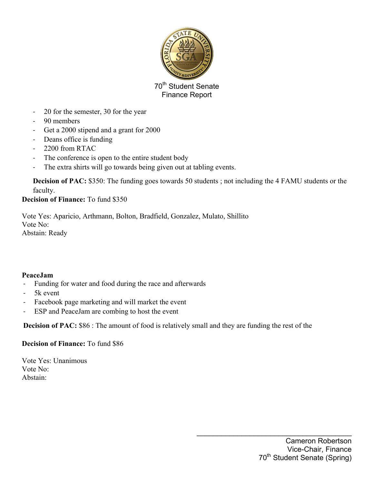

- 20 for the semester, 30 for the year
- 90 members
- Get a 2000 stipend and a grant for 2000
- Deans office is funding
- 2200 from RTAC
- The conference is open to the entire student body
- The extra shirts will go towards being given out at tabling events.

**Decision of PAC:** \$350: The funding goes towards 50 students; not including the 4 FAMU students or the faculty.

### **Decision of Finance:** To fund \$350

Vote Yes: Aparicio, Arthmann, Bolton, Bradfield, Gonzalez, Mulato, Shillito Vote No: Abstain: Ready

### **PeaceJam**

- Funding for water and food during the race and afterwards
- 5k event
- Facebook page marketing and will market the event
- ESP and PeaceJam are combing to host the event

**Decision of PAC:** \$86 : The amount of food is relatively small and they are funding the rest of the

### **Decision of Finance:** To fund \$86

Vote Yes: Unanimous Vote No: Abstain: